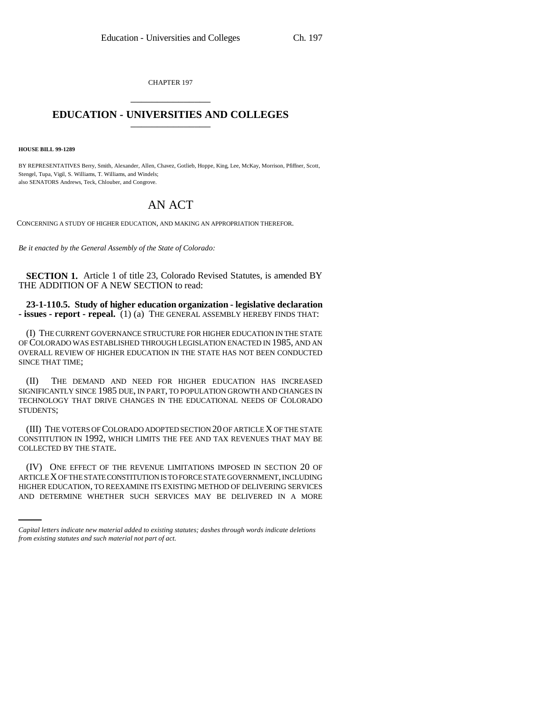CHAPTER 197 \_\_\_\_\_\_\_\_\_\_\_\_\_\_\_

## **EDUCATION - UNIVERSITIES AND COLLEGES** \_\_\_\_\_\_\_\_\_\_\_\_\_\_\_

**HOUSE BILL 99-1289** 

BY REPRESENTATIVES Berry, Smith, Alexander, Allen, Chavez, Gotlieb, Hoppe, King, Lee, McKay, Morrison, Pfiffner, Scott, Stengel, Tupa, Vigil, S. Williams, T. Williams, and Windels; also SENATORS Andrews, Teck, Chlouber, and Congrove.

## AN ACT

CONCERNING A STUDY OF HIGHER EDUCATION, AND MAKING AN APPROPRIATION THEREFOR.

*Be it enacted by the General Assembly of the State of Colorado:*

**SECTION 1.** Article 1 of title 23, Colorado Revised Statutes, is amended BY THE ADDITION OF A NEW SECTION to read:

**23-1-110.5. Study of higher education organization - legislative declaration - issues - report - repeal.** (1) (a) THE GENERAL ASSEMBLY HEREBY FINDS THAT:

(I) THE CURRENT GOVERNANCE STRUCTURE FOR HIGHER EDUCATION IN THE STATE OF COLORADO WAS ESTABLISHED THROUGH LEGISLATION ENACTED IN 1985, AND AN OVERALL REVIEW OF HIGHER EDUCATION IN THE STATE HAS NOT BEEN CONDUCTED SINCE THAT TIME;

(II) THE DEMAND AND NEED FOR HIGHER EDUCATION HAS INCREASED SIGNIFICANTLY SINCE 1985 DUE, IN PART, TO POPULATION GROWTH AND CHANGES IN TECHNOLOGY THAT DRIVE CHANGES IN THE EDUCATIONAL NEEDS OF COLORADO STUDENTS;

(III) THE VOTERS OF COLORADO ADOPTED SECTION 20 OF ARTICLE X OF THE STATE CONSTITUTION IN 1992, WHICH LIMITS THE FEE AND TAX REVENUES THAT MAY BE COLLECTED BY THE STATE.

ARTICLE X OF THE STATE CONSTITUTION IS TO FORCE STATE GOVERNMENT, INCLUDING (IV) ONE EFFECT OF THE REVENUE LIMITATIONS IMPOSED IN SECTION 20 OF HIGHER EDUCATION, TO REEXAMINE ITS EXISTING METHOD OF DELIVERING SERVICES AND DETERMINE WHETHER SUCH SERVICES MAY BE DELIVERED IN A MORE

*Capital letters indicate new material added to existing statutes; dashes through words indicate deletions from existing statutes and such material not part of act.*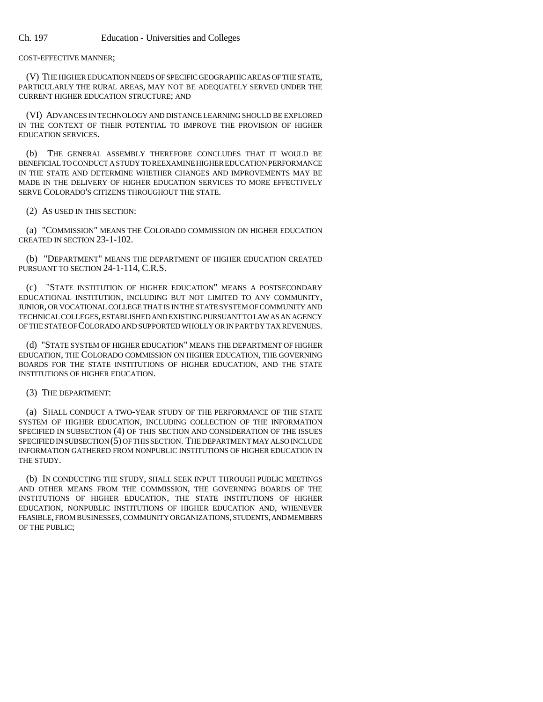COST-EFFECTIVE MANNER;

(V) THE HIGHER EDUCATION NEEDS OF SPECIFIC GEOGRAPHIC AREAS OF THE STATE, PARTICULARLY THE RURAL AREAS, MAY NOT BE ADEQUATELY SERVED UNDER THE CURRENT HIGHER EDUCATION STRUCTURE; AND

(VI) ADVANCES IN TECHNOLOGY AND DISTANCE LEARNING SHOULD BE EXPLORED IN THE CONTEXT OF THEIR POTENTIAL TO IMPROVE THE PROVISION OF HIGHER EDUCATION SERVICES.

(b) THE GENERAL ASSEMBLY THEREFORE CONCLUDES THAT IT WOULD BE BENEFICIAL TO CONDUCT A STUDY TO REEXAMINE HIGHER EDUCATION PERFORMANCE IN THE STATE AND DETERMINE WHETHER CHANGES AND IMPROVEMENTS MAY BE MADE IN THE DELIVERY OF HIGHER EDUCATION SERVICES TO MORE EFFECTIVELY SERVE COLORADO'S CITIZENS THROUGHOUT THE STATE.

(2) AS USED IN THIS SECTION:

(a) "COMMISSION" MEANS THE COLORADO COMMISSION ON HIGHER EDUCATION CREATED IN SECTION 23-1-102.

(b) "DEPARTMENT" MEANS THE DEPARTMENT OF HIGHER EDUCATION CREATED PURSUANT TO SECTION 24-1-114, C.R.S.

(c) "STATE INSTITUTION OF HIGHER EDUCATION" MEANS A POSTSECONDARY EDUCATIONAL INSTITUTION, INCLUDING BUT NOT LIMITED TO ANY COMMUNITY, JUNIOR, OR VOCATIONAL COLLEGE THAT IS IN THE STATE SYSTEM OF COMMUNITY AND TECHNICAL COLLEGES, ESTABLISHED AND EXISTING PURSUANT TO LAW AS AN AGENCY OF THE STATE OF COLORADO AND SUPPORTED WHOLLY OR IN PART BY TAX REVENUES.

(d) "STATE SYSTEM OF HIGHER EDUCATION" MEANS THE DEPARTMENT OF HIGHER EDUCATION, THE COLORADO COMMISSION ON HIGHER EDUCATION, THE GOVERNING BOARDS FOR THE STATE INSTITUTIONS OF HIGHER EDUCATION, AND THE STATE INSTITUTIONS OF HIGHER EDUCATION.

(3) THE DEPARTMENT:

(a) SHALL CONDUCT A TWO-YEAR STUDY OF THE PERFORMANCE OF THE STATE SYSTEM OF HIGHER EDUCATION, INCLUDING COLLECTION OF THE INFORMATION SPECIFIED IN SUBSECTION (4) OF THIS SECTION AND CONSIDERATION OF THE ISSUES SPECIFIED IN SUBSECTION (5) OF THIS SECTION. THE DEPARTMENT MAY ALSO INCLUDE INFORMATION GATHERED FROM NONPUBLIC INSTITUTIONS OF HIGHER EDUCATION IN THE STUDY.

(b) IN CONDUCTING THE STUDY, SHALL SEEK INPUT THROUGH PUBLIC MEETINGS AND OTHER MEANS FROM THE COMMISSION, THE GOVERNING BOARDS OF THE INSTITUTIONS OF HIGHER EDUCATION, THE STATE INSTITUTIONS OF HIGHER EDUCATION, NONPUBLIC INSTITUTIONS OF HIGHER EDUCATION AND, WHENEVER FEASIBLE, FROM BUSINESSES, COMMUNITY ORGANIZATIONS, STUDENTS, AND MEMBERS OF THE PUBLIC;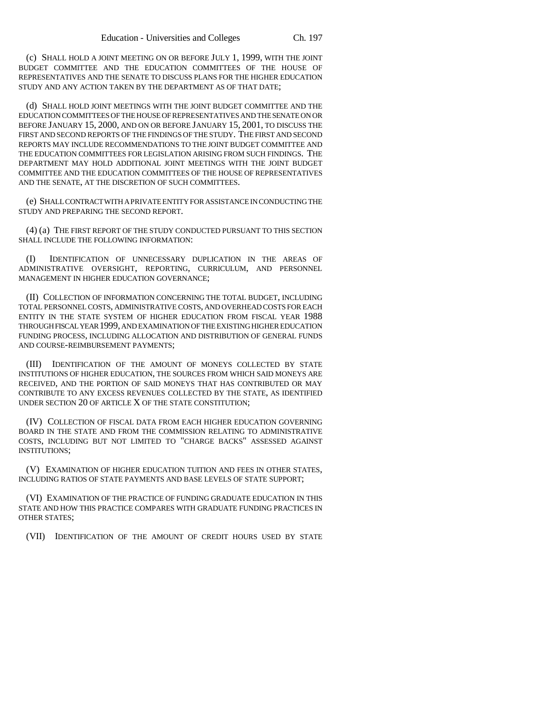(c) SHALL HOLD A JOINT MEETING ON OR BEFORE JULY 1, 1999, WITH THE JOINT BUDGET COMMITTEE AND THE EDUCATION COMMITTEES OF THE HOUSE OF REPRESENTATIVES AND THE SENATE TO DISCUSS PLANS FOR THE HIGHER EDUCATION STUDY AND ANY ACTION TAKEN BY THE DEPARTMENT AS OF THAT DATE;

(d) SHALL HOLD JOINT MEETINGS WITH THE JOINT BUDGET COMMITTEE AND THE EDUCATION COMMITTEES OF THE HOUSE OF REPRESENTATIVES AND THE SENATE ON OR BEFORE JANUARY 15, 2000, AND ON OR BEFORE JANUARY 15, 2001, TO DISCUSS THE FIRST AND SECOND REPORTS OF THE FINDINGS OF THE STUDY. THE FIRST AND SECOND REPORTS MAY INCLUDE RECOMMENDATIONS TO THE JOINT BUDGET COMMITTEE AND THE EDUCATION COMMITTEES FOR LEGISLATION ARISING FROM SUCH FINDINGS. THE DEPARTMENT MAY HOLD ADDITIONAL JOINT MEETINGS WITH THE JOINT BUDGET COMMITTEE AND THE EDUCATION COMMITTEES OF THE HOUSE OF REPRESENTATIVES AND THE SENATE, AT THE DISCRETION OF SUCH COMMITTEES.

(e) SHALL CONTRACT WITH A PRIVATE ENTITY FOR ASSISTANCE IN CONDUCTING THE STUDY AND PREPARING THE SECOND REPORT.

(4) (a) THE FIRST REPORT OF THE STUDY CONDUCTED PURSUANT TO THIS SECTION SHALL INCLUDE THE FOLLOWING INFORMATION:

(I) IDENTIFICATION OF UNNECESSARY DUPLICATION IN THE AREAS OF ADMINISTRATIVE OVERSIGHT, REPORTING, CURRICULUM, AND PERSONNEL MANAGEMENT IN HIGHER EDUCATION GOVERNANCE;

(II) COLLECTION OF INFORMATION CONCERNING THE TOTAL BUDGET, INCLUDING TOTAL PERSONNEL COSTS, ADMINISTRATIVE COSTS, AND OVERHEAD COSTS FOR EACH ENTITY IN THE STATE SYSTEM OF HIGHER EDUCATION FROM FISCAL YEAR 1988 THROUGH FISCAL YEAR 1999, AND EXAMINATION OF THE EXISTING HIGHER EDUCATION FUNDING PROCESS, INCLUDING ALLOCATION AND DISTRIBUTION OF GENERAL FUNDS AND COURSE-REIMBURSEMENT PAYMENTS;

(III) IDENTIFICATION OF THE AMOUNT OF MONEYS COLLECTED BY STATE INSTITUTIONS OF HIGHER EDUCATION, THE SOURCES FROM WHICH SAID MONEYS ARE RECEIVED, AND THE PORTION OF SAID MONEYS THAT HAS CONTRIBUTED OR MAY CONTRIBUTE TO ANY EXCESS REVENUES COLLECTED BY THE STATE, AS IDENTIFIED UNDER SECTION 20 OF ARTICLE X OF THE STATE CONSTITUTION;

(IV) COLLECTION OF FISCAL DATA FROM EACH HIGHER EDUCATION GOVERNING BOARD IN THE STATE AND FROM THE COMMISSION RELATING TO ADMINISTRATIVE COSTS, INCLUDING BUT NOT LIMITED TO "CHARGE BACKS" ASSESSED AGAINST INSTITUTIONS;

(V) EXAMINATION OF HIGHER EDUCATION TUITION AND FEES IN OTHER STATES, INCLUDING RATIOS OF STATE PAYMENTS AND BASE LEVELS OF STATE SUPPORT;

(VI) EXAMINATION OF THE PRACTICE OF FUNDING GRADUATE EDUCATION IN THIS STATE AND HOW THIS PRACTICE COMPARES WITH GRADUATE FUNDING PRACTICES IN OTHER STATES;

(VII) IDENTIFICATION OF THE AMOUNT OF CREDIT HOURS USED BY STATE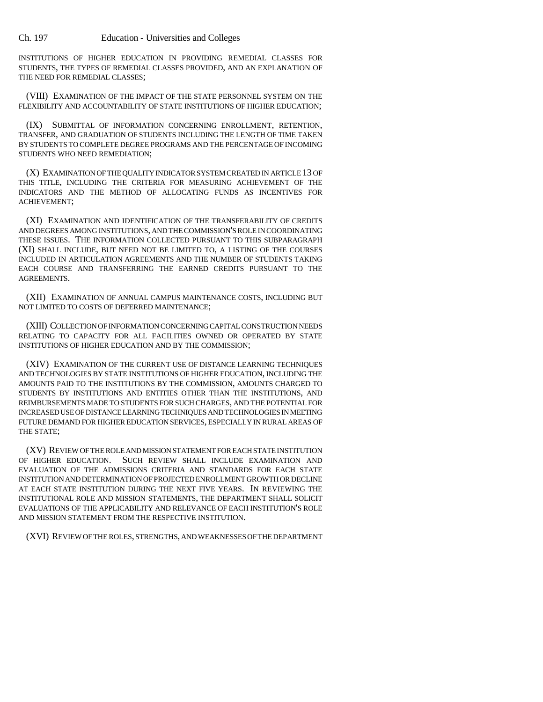INSTITUTIONS OF HIGHER EDUCATION IN PROVIDING REMEDIAL CLASSES FOR STUDENTS, THE TYPES OF REMEDIAL CLASSES PROVIDED, AND AN EXPLANATION OF THE NEED FOR REMEDIAL CLASSES;

(VIII) EXAMINATION OF THE IMPACT OF THE STATE PERSONNEL SYSTEM ON THE FLEXIBILITY AND ACCOUNTABILITY OF STATE INSTITUTIONS OF HIGHER EDUCATION;

(IX) SUBMITTAL OF INFORMATION CONCERNING ENROLLMENT, RETENTION, TRANSFER, AND GRADUATION OF STUDENTS INCLUDING THE LENGTH OF TIME TAKEN BY STUDENTS TO COMPLETE DEGREE PROGRAMS AND THE PERCENTAGE OF INCOMING STUDENTS WHO NEED REMEDIATION;

(X) EXAMINATION OF THE QUALITY INDICATOR SYSTEM CREATED IN ARTICLE 13 OF THIS TITLE, INCLUDING THE CRITERIA FOR MEASURING ACHIEVEMENT OF THE INDICATORS AND THE METHOD OF ALLOCATING FUNDS AS INCENTIVES FOR ACHIEVEMENT;

(XI) EXAMINATION AND IDENTIFICATION OF THE TRANSFERABILITY OF CREDITS AND DEGREES AMONG INSTITUTIONS, AND THE COMMISSION'S ROLE IN COORDINATING THESE ISSUES. THE INFORMATION COLLECTED PURSUANT TO THIS SUBPARAGRAPH (XI) SHALL INCLUDE, BUT NEED NOT BE LIMITED TO, A LISTING OF THE COURSES INCLUDED IN ARTICULATION AGREEMENTS AND THE NUMBER OF STUDENTS TAKING EACH COURSE AND TRANSFERRING THE EARNED CREDITS PURSUANT TO THE AGREEMENTS.

(XII) EXAMINATION OF ANNUAL CAMPUS MAINTENANCE COSTS, INCLUDING BUT NOT LIMITED TO COSTS OF DEFERRED MAINTENANCE;

(XIII) COLLECTION OF INFORMATION CONCERNING CAPITAL CONSTRUCTION NEEDS RELATING TO CAPACITY FOR ALL FACILITIES OWNED OR OPERATED BY STATE INSTITUTIONS OF HIGHER EDUCATION AND BY THE COMMISSION;

(XIV) EXAMINATION OF THE CURRENT USE OF DISTANCE LEARNING TECHNIQUES AND TECHNOLOGIES BY STATE INSTITUTIONS OF HIGHER EDUCATION, INCLUDING THE AMOUNTS PAID TO THE INSTITUTIONS BY THE COMMISSION, AMOUNTS CHARGED TO STUDENTS BY INSTITUTIONS AND ENTITIES OTHER THAN THE INSTITUTIONS, AND REIMBURSEMENTS MADE TO STUDENTS FOR SUCH CHARGES, AND THE POTENTIAL FOR INCREASED USE OF DISTANCE LEARNING TECHNIQUES AND TECHNOLOGIES IN MEETING FUTURE DEMAND FOR HIGHER EDUCATION SERVICES, ESPECIALLY IN RURAL AREAS OF THE STATE;

(XV) REVIEW OF THE ROLE AND MISSION STATEMENT FOR EACH STATE INSTITUTION OF HIGHER EDUCATION. SUCH REVIEW SHALL INCLUDE EXAMINATION AND EVALUATION OF THE ADMISSIONS CRITERIA AND STANDARDS FOR EACH STATE INSTITUTION AND DETERMINATION OF PROJECTED ENROLLMENT GROWTH OR DECLINE AT EACH STATE INSTITUTION DURING THE NEXT FIVE YEARS. IN REVIEWING THE INSTITUTIONAL ROLE AND MISSION STATEMENTS, THE DEPARTMENT SHALL SOLICIT EVALUATIONS OF THE APPLICABILITY AND RELEVANCE OF EACH INSTITUTION'S ROLE AND MISSION STATEMENT FROM THE RESPECTIVE INSTITUTION.

(XVI) REVIEW OF THE ROLES, STRENGTHS, AND WEAKNESSES OF THE DEPARTMENT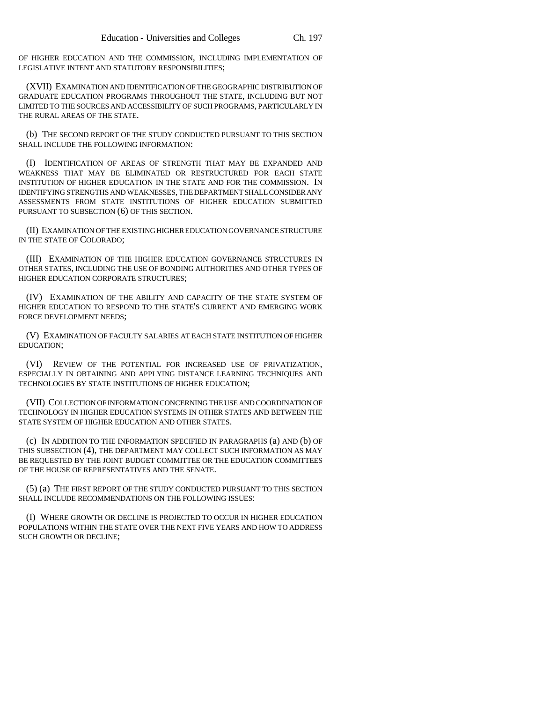OF HIGHER EDUCATION AND THE COMMISSION, INCLUDING IMPLEMENTATION OF LEGISLATIVE INTENT AND STATUTORY RESPONSIBILITIES;

(XVII) EXAMINATION AND IDENTIFICATION OF THE GEOGRAPHIC DISTRIBUTION OF GRADUATE EDUCATION PROGRAMS THROUGHOUT THE STATE, INCLUDING BUT NOT LIMITED TO THE SOURCES AND ACCESSIBILITY OF SUCH PROGRAMS, PARTICULARLY IN THE RURAL AREAS OF THE STATE.

(b) THE SECOND REPORT OF THE STUDY CONDUCTED PURSUANT TO THIS SECTION SHALL INCLUDE THE FOLLOWING INFORMATION:

(I) IDENTIFICATION OF AREAS OF STRENGTH THAT MAY BE EXPANDED AND WEAKNESS THAT MAY BE ELIMINATED OR RESTRUCTURED FOR EACH STATE INSTITUTION OF HIGHER EDUCATION IN THE STATE AND FOR THE COMMISSION. IN IDENTIFYING STRENGTHS AND WEAKNESSES, THE DEPARTMENT SHALL CONSIDER ANY ASSESSMENTS FROM STATE INSTITUTIONS OF HIGHER EDUCATION SUBMITTED PURSUANT TO SUBSECTION (6) OF THIS SECTION.

(II) EXAMINATION OF THE EXISTING HIGHER EDUCATION GOVERNANCE STRUCTURE IN THE STATE OF COLORADO;

(III) EXAMINATION OF THE HIGHER EDUCATION GOVERNANCE STRUCTURES IN OTHER STATES, INCLUDING THE USE OF BONDING AUTHORITIES AND OTHER TYPES OF HIGHER EDUCATION CORPORATE STRUCTURES;

(IV) EXAMINATION OF THE ABILITY AND CAPACITY OF THE STATE SYSTEM OF HIGHER EDUCATION TO RESPOND TO THE STATE'S CURRENT AND EMERGING WORK FORCE DEVELOPMENT NEEDS;

(V) EXAMINATION OF FACULTY SALARIES AT EACH STATE INSTITUTION OF HIGHER EDUCATION;

(VI) REVIEW OF THE POTENTIAL FOR INCREASED USE OF PRIVATIZATION, ESPECIALLY IN OBTAINING AND APPLYING DISTANCE LEARNING TECHNIQUES AND TECHNOLOGIES BY STATE INSTITUTIONS OF HIGHER EDUCATION;

(VII) COLLECTION OF INFORMATION CONCERNING THE USE AND COORDINATION OF TECHNOLOGY IN HIGHER EDUCATION SYSTEMS IN OTHER STATES AND BETWEEN THE STATE SYSTEM OF HIGHER EDUCATION AND OTHER STATES.

(c) IN ADDITION TO THE INFORMATION SPECIFIED IN PARAGRAPHS (a) AND (b) OF THIS SUBSECTION (4), THE DEPARTMENT MAY COLLECT SUCH INFORMATION AS MAY BE REQUESTED BY THE JOINT BUDGET COMMITTEE OR THE EDUCATION COMMITTEES OF THE HOUSE OF REPRESENTATIVES AND THE SENATE.

(5) (a) THE FIRST REPORT OF THE STUDY CONDUCTED PURSUANT TO THIS SECTION SHALL INCLUDE RECOMMENDATIONS ON THE FOLLOWING ISSUES:

(I) WHERE GROWTH OR DECLINE IS PROJECTED TO OCCUR IN HIGHER EDUCATION POPULATIONS WITHIN THE STATE OVER THE NEXT FIVE YEARS AND HOW TO ADDRESS SUCH GROWTH OR DECLINE;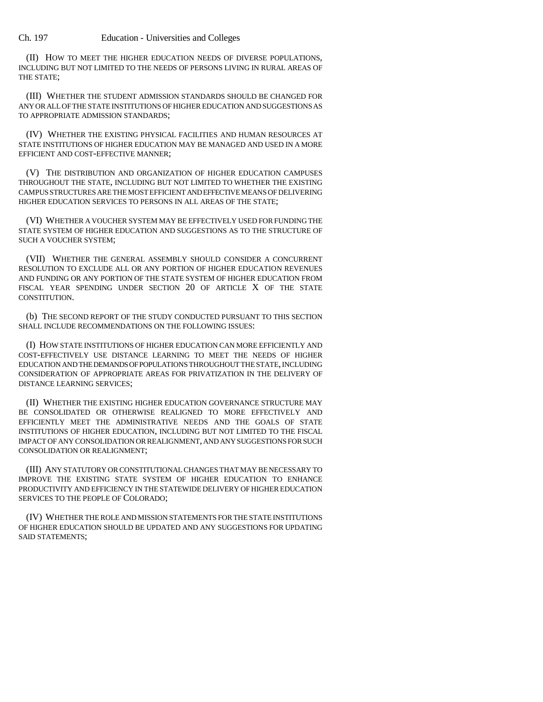(II) HOW TO MEET THE HIGHER EDUCATION NEEDS OF DIVERSE POPULATIONS, INCLUDING BUT NOT LIMITED TO THE NEEDS OF PERSONS LIVING IN RURAL AREAS OF THE STATE;

(III) WHETHER THE STUDENT ADMISSION STANDARDS SHOULD BE CHANGED FOR ANY OR ALL OF THE STATE INSTITUTIONS OF HIGHER EDUCATION AND SUGGESTIONS AS TO APPROPRIATE ADMISSION STANDARDS;

(IV) WHETHER THE EXISTING PHYSICAL FACILITIES AND HUMAN RESOURCES AT STATE INSTITUTIONS OF HIGHER EDUCATION MAY BE MANAGED AND USED IN A MORE EFFICIENT AND COST-EFFECTIVE MANNER;

(V) THE DISTRIBUTION AND ORGANIZATION OF HIGHER EDUCATION CAMPUSES THROUGHOUT THE STATE, INCLUDING BUT NOT LIMITED TO WHETHER THE EXISTING CAMPUS STRUCTURES ARE THE MOST EFFICIENT AND EFFECTIVE MEANS OF DELIVERING HIGHER EDUCATION SERVICES TO PERSONS IN ALL AREAS OF THE STATE;

(VI) WHETHER A VOUCHER SYSTEM MAY BE EFFECTIVELY USED FOR FUNDING THE STATE SYSTEM OF HIGHER EDUCATION AND SUGGESTIONS AS TO THE STRUCTURE OF SUCH A VOUCHER SYSTEM;

(VII) WHETHER THE GENERAL ASSEMBLY SHOULD CONSIDER A CONCURRENT RESOLUTION TO EXCLUDE ALL OR ANY PORTION OF HIGHER EDUCATION REVENUES AND FUNDING OR ANY PORTION OF THE STATE SYSTEM OF HIGHER EDUCATION FROM FISCAL YEAR SPENDING UNDER SECTION 20 OF ARTICLE X OF THE STATE CONSTITUTION.

(b) THE SECOND REPORT OF THE STUDY CONDUCTED PURSUANT TO THIS SECTION SHALL INCLUDE RECOMMENDATIONS ON THE FOLLOWING ISSUES:

(I) HOW STATE INSTITUTIONS OF HIGHER EDUCATION CAN MORE EFFICIENTLY AND COST-EFFECTIVELY USE DISTANCE LEARNING TO MEET THE NEEDS OF HIGHER EDUCATION AND THE DEMANDS OF POPULATIONS THROUGHOUT THE STATE, INCLUDING CONSIDERATION OF APPROPRIATE AREAS FOR PRIVATIZATION IN THE DELIVERY OF DISTANCE LEARNING SERVICES;

(II) WHETHER THE EXISTING HIGHER EDUCATION GOVERNANCE STRUCTURE MAY BE CONSOLIDATED OR OTHERWISE REALIGNED TO MORE EFFECTIVELY AND EFFICIENTLY MEET THE ADMINISTRATIVE NEEDS AND THE GOALS OF STATE INSTITUTIONS OF HIGHER EDUCATION, INCLUDING BUT NOT LIMITED TO THE FISCAL IMPACT OF ANY CONSOLIDATION OR REALIGNMENT, AND ANY SUGGESTIONS FOR SUCH CONSOLIDATION OR REALIGNMENT;

(III) ANY STATUTORY OR CONSTITUTIONAL CHANGES THAT MAY BE NECESSARY TO IMPROVE THE EXISTING STATE SYSTEM OF HIGHER EDUCATION TO ENHANCE PRODUCTIVITY AND EFFICIENCY IN THE STATEWIDE DELIVERY OF HIGHER EDUCATION SERVICES TO THE PEOPLE OF COLORADO;

(IV) WHETHER THE ROLE AND MISSION STATEMENTS FOR THE STATE INSTITUTIONS OF HIGHER EDUCATION SHOULD BE UPDATED AND ANY SUGGESTIONS FOR UPDATING SAID STATEMENTS;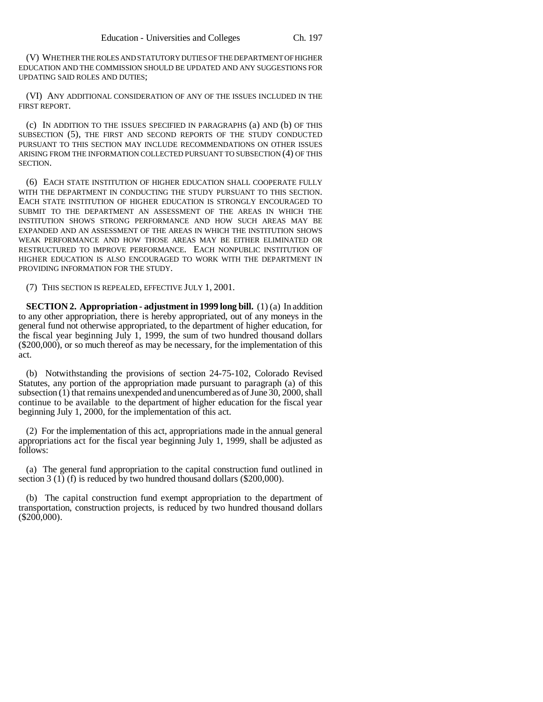(V) WHETHER THE ROLES AND STATUTORY DUTIES OF THE DEPARTMENT OF HIGHER EDUCATION AND THE COMMISSION SHOULD BE UPDATED AND ANY SUGGESTIONS FOR UPDATING SAID ROLES AND DUTIES;

(VI) ANY ADDITIONAL CONSIDERATION OF ANY OF THE ISSUES INCLUDED IN THE FIRST REPORT.

(c) IN ADDITION TO THE ISSUES SPECIFIED IN PARAGRAPHS (a) AND (b) OF THIS SUBSECTION (5), THE FIRST AND SECOND REPORTS OF THE STUDY CONDUCTED PURSUANT TO THIS SECTION MAY INCLUDE RECOMMENDATIONS ON OTHER ISSUES ARISING FROM THE INFORMATION COLLECTED PURSUANT TO SUBSECTION (4) OF THIS SECTION.

(6) EACH STATE INSTITUTION OF HIGHER EDUCATION SHALL COOPERATE FULLY WITH THE DEPARTMENT IN CONDUCTING THE STUDY PURSUANT TO THIS SECTION. EACH STATE INSTITUTION OF HIGHER EDUCATION IS STRONGLY ENCOURAGED TO SUBMIT TO THE DEPARTMENT AN ASSESSMENT OF THE AREAS IN WHICH THE INSTITUTION SHOWS STRONG PERFORMANCE AND HOW SUCH AREAS MAY BE EXPANDED AND AN ASSESSMENT OF THE AREAS IN WHICH THE INSTITUTION SHOWS WEAK PERFORMANCE AND HOW THOSE AREAS MAY BE EITHER ELIMINATED OR RESTRUCTURED TO IMPROVE PERFORMANCE. EACH NONPUBLIC INSTITUTION OF HIGHER EDUCATION IS ALSO ENCOURAGED TO WORK WITH THE DEPARTMENT IN PROVIDING INFORMATION FOR THE STUDY.

(7) THIS SECTION IS REPEALED, EFFECTIVE JULY 1, 2001.

**SECTION 2. Appropriation - adjustment in 1999 long bill.** (1) (a) In addition to any other appropriation, there is hereby appropriated, out of any moneys in the general fund not otherwise appropriated, to the department of higher education, for the fiscal year beginning July 1, 1999, the sum of two hundred thousand dollars (\$200,000), or so much thereof as may be necessary, for the implementation of this act.

(b) Notwithstanding the provisions of section 24-75-102, Colorado Revised Statutes, any portion of the appropriation made pursuant to paragraph (a) of this subsection (1) that remains unexpended and unencumbered as of June 30, 2000, shall continue to be available to the department of higher education for the fiscal year beginning July 1, 2000, for the implementation of this act.

(2) For the implementation of this act, appropriations made in the annual general appropriations act for the fiscal year beginning July 1, 1999, shall be adjusted as follows:

(a) The general fund appropriation to the capital construction fund outlined in section 3 (1) (f) is reduced by two hundred thousand dollars (\$200,000).

(b) The capital construction fund exempt appropriation to the department of transportation, construction projects, is reduced by two hundred thousand dollars  $(\$200,000)$ .